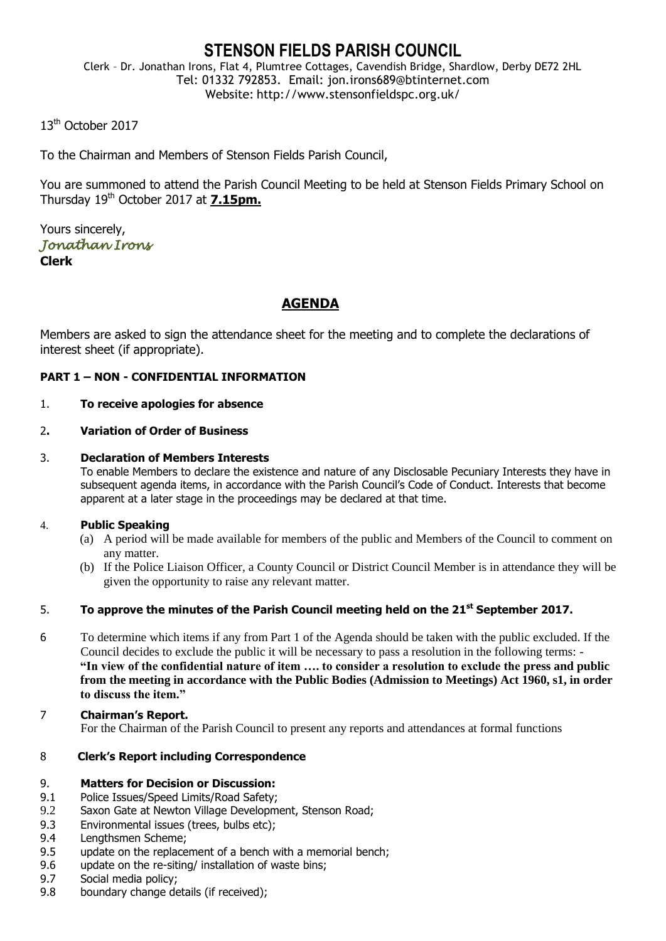# **STENSON FIELDS PARISH COUNCIL**

Clerk – Dr. Jonathan Irons, Flat 4, Plumtree Cottages, Cavendish Bridge, Shardlow, Derby DE72 2HL Tel: 01332 792853. Email: jon.irons689@btinternet.com Website: http://www.stensonfieldspc.org.uk/

13<sup>th</sup> October 2017

To the Chairman and Members of Stenson Fields Parish Council,

You are summoned to attend the Parish Council Meeting to be held at Stenson Fields Primary School on Thursday 19th October 2017 at **7.15pm.**

Yours sincerely, *Jonathan Irons*  **Clerk**

## **AGENDA**

Members are asked to sign the attendance sheet for the meeting and to complete the declarations of interest sheet (if appropriate).

## **PART 1 – NON - CONFIDENTIAL INFORMATION**

## 1. **To receive apologies for absence**

## 2**. Variation of Order of Business**

#### 3. **Declaration of Members Interests**

To enable Members to declare the existence and nature of any Disclosable Pecuniary Interests they have in subsequent agenda items, in accordance with the Parish Council's Code of Conduct. Interests that become apparent at a later stage in the proceedings may be declared at that time.

## 4. **Public Speaking**

- (a) A period will be made available for members of the public and Members of the Council to comment on any matter.
- (b) If the Police Liaison Officer, a County Council or District Council Member is in attendance they will be given the opportunity to raise any relevant matter.

## 5. **To approve the minutes of the Parish Council meeting held on the 21st September 2017.**

- 6 To determine which items if any from Part 1 of the Agenda should be taken with the public excluded. If the Council decides to exclude the public it will be necessary to pass a resolution in the following terms: - **"In view of the confidential nature of item …. to consider a resolution to exclude the press and public from the meeting in accordance with the Public Bodies (Admission to Meetings) Act 1960, s1, in order to discuss the item."**
- 7 **Chairman's Report.** For the Chairman of the Parish Council to present any reports and attendances at formal functions

## 8 **Clerk's Report including Correspondence**

## 9. **Matters for Decision or Discussion:**

- 9.1 Police Issues/Speed Limits/Road Safety;
- 9.2 Saxon Gate at Newton Village Development, Stenson Road;
- 9.3 Environmental issues (trees, bulbs etc);
- 9.4 Lengthsmen Scheme;
- 9.5 update on the replacement of a bench with a memorial bench;
- 9.6 update on the re-siting/ installation of waste bins;
- 9.7 Social media policy;
- 9.8 boundary change details (if received);